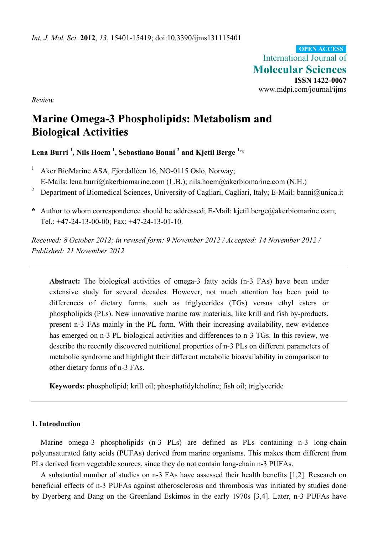International Journal of **Molecular Sciences ISSN 1422-0067**  www.mdpi.com/journal/ijms **OPEN ACCESS**

*Review* 

# **Marine Omega-3 Phospholipids: Metabolism and Biological Activities**

Lena Burri <sup>1</sup>, Nils Hoem <sup>1</sup>, Sebastiano Banni <sup>2</sup> and Kjetil Berge <sup>1,</sup>\*

- 1 Aker BioMarine ASA, Fjordalléen 16, NO-0115 Oslo, Norway; E-Mails: lena.burri@akerbiomarine.com (L.B.); nils.hoem@akerbiomarine.com (N.H.)
- <sup>2</sup> Department of Biomedical Sciences, University of Cagliari, Cagliari, Italy; E-Mail: banni@unica.it
- **\*** Author to whom correspondence should be addressed; E-Mail: kjetil.berge@akerbiomarine.com; Tel.: +47-24-13-00-00; Fax: +47-24-13-01-10.

*Received: 8 October 2012; in revised form: 9 November 2012 / Accepted: 14 November 2012 / Published: 21 November 2012* 

**Abstract:** The biological activities of omega-3 fatty acids (n-3 FAs) have been under extensive study for several decades. However, not much attention has been paid to differences of dietary forms, such as triglycerides (TGs) versus ethyl esters or phospholipids (PLs). New innovative marine raw materials, like krill and fish by-products, present n-3 FAs mainly in the PL form. With their increasing availability, new evidence has emerged on n-3 PL biological activities and differences to n-3 TGs. In this review, we describe the recently discovered nutritional properties of n-3 PLs on different parameters of metabolic syndrome and highlight their different metabolic bioavailability in comparison to other dietary forms of n-3 FAs.

**Keywords:** phospholipid; krill oil; phosphatidylcholine; fish oil; triglyceride

# **1. Introduction**

Marine omega-3 phospholipids (n-3 PLs) are defined as PLs containing n-3 long-chain polyunsaturated fatty acids (PUFAs) derived from marine organisms. This makes them different from PLs derived from vegetable sources, since they do not contain long-chain n-3 PUFAs.

A substantial number of studies on n-3 FAs have assessed their health benefits [1,2]. Research on beneficial effects of n-3 PUFAs against atherosclerosis and thrombosis was initiated by studies done by Dyerberg and Bang on the Greenland Eskimos in the early 1970s [3,4]. Later, n-3 PUFAs have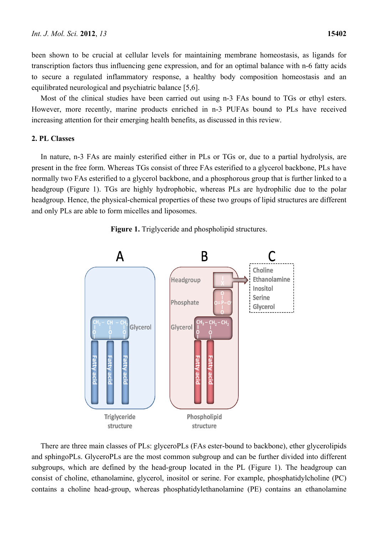been shown to be crucial at cellular levels for maintaining membrane homeostasis, as ligands for transcription factors thus influencing gene expression, and for an optimal balance with n-6 fatty acids to secure a regulated inflammatory response, a healthy body composition homeostasis and an equilibrated neurological and psychiatric balance [5,6].

Most of the clinical studies have been carried out using n-3 FAs bound to TGs or ethyl esters. However, more recently, marine products enriched in n-3 PUFAs bound to PLs have received increasing attention for their emerging health benefits, as discussed in this review.

## **2. PL Classes**

In nature, n-3 FAs are mainly esterified either in PLs or TGs or, due to a partial hydrolysis, are present in the free form. Whereas TGs consist of three FAs esterified to a glycerol backbone, PLs have normally two FAs esterified to a glycerol backbone, and a phosphorous group that is further linked to a headgroup (Figure 1). TGs are highly hydrophobic, whereas PLs are hydrophilic due to the polar headgroup. Hence, the physical-chemical properties of these two groups of lipid structures are different and only PLs are able to form micelles and liposomes.



**Figure 1.** Triglyceride and phospholipid structures.

There are three main classes of PLs: glyceroPLs (FAs ester-bound to backbone), ether glycerolipids and sphingoPLs. GlyceroPLs are the most common subgroup and can be further divided into different subgroups, which are defined by the head-group located in the PL (Figure 1). The headgroup can consist of choline, ethanolamine, glycerol, inositol or serine. For example, phosphatidylcholine (PC) contains a choline head-group, whereas phosphatidylethanolamine (PE) contains an ethanolamine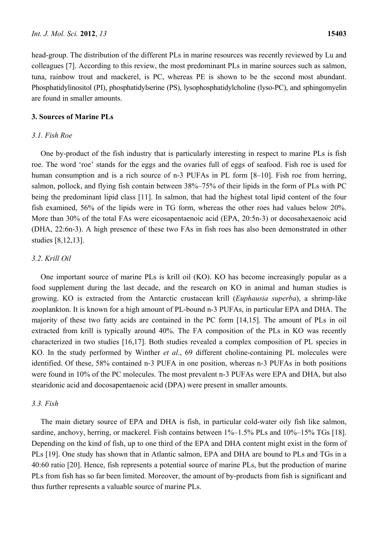head-group. The distribution of the different PLs in marine resources was recently reviewed by Lu and colleagues [7]. According to this review, the most predominant PLs in marine sources such as salmon, tuna, rainbow trout and mackerel, is PC, whereas PE is shown to be the second most abundant. Phosphatidylinositol (PI), phosphatidylserine (PS), lysophosphatidylcholine (lyso-PC), and sphingomyelin are found in smaller amounts.

## **3. Sources of Marine PLs**

## *3.1. Fish Roe*

One by-product of the fish industry that is particularly interesting in respect to marine PLs is fish roe. The word 'roe' stands for the eggs and the ovaries full of eggs of seafood. Fish roe is used for human consumption and is a rich source of n-3 PUFAs in PL form  $[8-10]$ . Fish roe from herring, salmon, pollock, and flying fish contain between 38%–75% of their lipids in the form of PLs with PC being the predominant lipid class [11]. In salmon, that had the highest total lipid content of the four fish examined, 56% of the lipids were in TG form, whereas the other roes had values below 20%. More than 30% of the total FAs were eicosapentaenoic acid (EPA, 20:5n*-*3) or docosahexaenoic acid (DHA, 22:6n-3). A high presence of these two FAs in fish roes has also been demonstrated in other studies [8,12,13].

## *3.2. Krill Oil*

One important source of marine PLs is krill oil (KO). KO has become increasingly popular as a food supplement during the last decade, and the research on KO in animal and human studies is growing. KO is extracted from the Antarctic crustacean krill (*Euphausia superba*), a shrimp-like zooplankton. It is known for a high amount of PL-bound n-3 PUFAs, in particular EPA and DHA. The majority of these two fatty acids are contained in the PC form [14,15]. The amount of PLs in oil extracted from krill is typically around 40%. The FA composition of the PLs in KO was recently characterized in two studies [16,17]. Both studies revealed a complex composition of PL species in KO. In the study performed by Winther *et al*., 69 different choline-containing PL molecules were identified. Of these, 58% contained n-3 PUFA in one position, whereas n-3 PUFAs in both positions were found in 10% of the PC molecules. The most prevalent n-3 PUFAs were EPA and DHA, but also stearidonic acid and docosapentaenoic acid (DPA) were present in smaller amounts.

## *3.3. Fish*

The main dietary source of EPA and DHA is fish, in particular cold-water oily fish like salmon, sardine, anchovy, herring, or mackerel. Fish contains between  $1\%$ –1.5% PLs and  $10\%$ –15% TGs [18]. Depending on the kind of fish, up to one third of the EPA and DHA content might exist in the form of PLs [19]. One study has shown that in Atlantic salmon, EPA and DHA are bound to PLs and TGs in a 40:60 ratio [20]. Hence, fish represents a potential source of marine PLs, but the production of marine PLs from fish has so far been limited. Moreover, the amount of by-products from fish is significant and thus further represents a valuable source of marine PLs.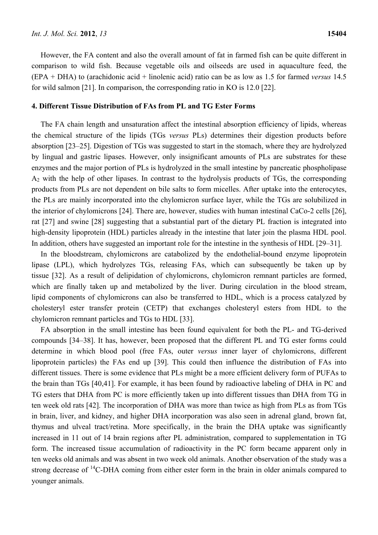However, the FA content and also the overall amount of fat in farmed fish can be quite different in comparison to wild fish. Because vegetable oils and oilseeds are used in aquaculture feed, the (EPA + DHA) to (arachidonic acid + linolenic acid) ratio can be as low as 1.5 for farmed *versus* 14.5 for wild salmon [21]. In comparison, the corresponding ratio in KO is 12.0 [22].

#### **4. Different Tissue Distribution of FAs from PL and TG Ester Forms**

The FA chain length and unsaturation affect the intestinal absorption efficiency of lipids, whereas the chemical structure of the lipids (TGs *versus* PLs) determines their digestion products before absorption [23–25]. Digestion of TGs was suggested to start in the stomach, where they are hydrolyzed by lingual and gastric lipases. However, only insignificant amounts of PLs are substrates for these enzymes and the major portion of PLs is hydrolyzed in the small intestine by pancreatic phospholipase A2 with the help of other lipases. In contrast to the hydrolysis products of TGs, the corresponding products from PLs are not dependent on bile salts to form micelles. After uptake into the enterocytes, the PLs are mainly incorporated into the chylomicron surface layer, while the TGs are solubilized in the interior of chylomicrons [24]. There are, however, studies with human intestinal CaCo-2 cells [26], rat [27] and swine [28] suggesting that a substantial part of the dietary PL fraction is integrated into high-density lipoprotein (HDL) particles already in the intestine that later join the plasma HDL pool. In addition, others have suggested an important role for the intestine in the synthesis of HDL [29–31].

In the bloodstream, chylomicrons are catabolized by the endothelial-bound enzyme lipoprotein lipase (LPL), which hydrolyzes TGs, releasing FAs, which can subsequently be taken up by tissue [32]. As a result of delipidation of chylomicrons, chylomicron remnant particles are formed, which are finally taken up and metabolized by the liver. During circulation in the blood stream, lipid components of chylomicrons can also be transferred to HDL, which is a process catalyzed by cholesteryl ester transfer protein (CETP) that exchanges cholesteryl esters from HDL to the chylomicron remnant particles and TGs to HDL [33].

FA absorption in the small intestine has been found equivalent for both the PL- and TG-derived compounds [34–38]. It has, however, been proposed that the different PL and TG ester forms could determine in which blood pool (free FAs, outer *versus* inner layer of chylomicrons, different lipoprotein particles) the FAs end up [39]. This could then influence the distribution of FAs into different tissues. There is some evidence that PLs might be a more efficient delivery form of PUFAs to the brain than TGs [40,41]. For example, it has been found by radioactive labeling of DHA in PC and TG esters that DHA from PC is more efficiently taken up into different tissues than DHA from TG in ten week old rats [42]. The incorporation of DHA was more than twice as high from PLs as from TGs in brain, liver, and kidney, and higher DHA incorporation was also seen in adrenal gland, brown fat, thymus and ulveal tract/retina. More specifically, in the brain the DHA uptake was significantly increased in 11 out of 14 brain regions after PL administration, compared to supplementation in TG form. The increased tissue accumulation of radioactivity in the PC form became apparent only in ten weeks old animals and was absent in two week old animals. Another observation of the study was a strong decrease of  $^{14}$ C-DHA coming from either ester form in the brain in older animals compared to younger animals.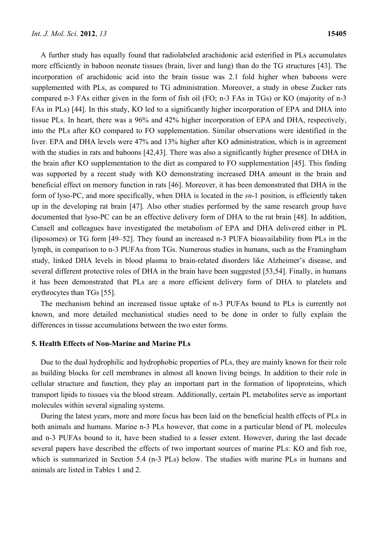A further study has equally found that radiolabeled arachidonic acid esterified in PLs accumulates more efficiently in baboon neonate tissues (brain, liver and lung) than do the TG structures [43]. The incorporation of arachidonic acid into the brain tissue was 2.1 fold higher when baboons were supplemented with PLs, as compared to TG administration. Moreover, a study in obese Zucker rats compared n-3 FAs either given in the form of fish oil (FO; n-3 FAs in TGs) or KO (majority of n-3 FAs in PLs) [44]. In this study, KO led to a significantly higher incorporation of EPA and DHA into tissue PLs. In heart, there was a 96% and 42% higher incorporation of EPA and DHA, respectively, into the PLs after KO compared to FO supplementation. Similar observations were identified in the liver. EPA and DHA levels were 47% and 13% higher after KO administration, which is in agreement with the studies in rats and baboons [42,43]. There was also a significantly higher presence of DHA in the brain after KO supplementation to the diet as compared to FO supplementation [45]. This finding was supported by a recent study with KO demonstrating increased DHA amount in the brain and beneficial effect on memory function in rats [46]. Moreover, it has been demonstrated that DHA in the form of lyso-PC, and more specifically, when DHA is located in the *sn*-1 position, is efficiently taken up in the developing rat brain [47]. Also other studies performed by the same research group have documented that lyso-PC can be an effective delivery form of DHA to the rat brain [48]. In addition, Cansell and colleagues have investigated the metabolism of EPA and DHA delivered either in PL (liposomes) or TG form [49–52]. They found an increased n-3 PUFA bioavailability from PLs in the lymph, in comparison to n-3 PUFAs from TGs. Numerous studies in humans, such as the Framingham study, linked DHA levels in blood plasma to brain-related disorders like Alzheimer's disease, and several different protective roles of DHA in the brain have been suggested [53,54]. Finally, in humans it has been demonstrated that PLs are a more efficient delivery form of DHA to platelets and erythrocytes than TGs [55].

The mechanism behind an increased tissue uptake of n-3 PUFAs bound to PLs is currently not known, and more detailed mechanistical studies need to be done in order to fully explain the differences in tissue accumulations between the two ester forms.

## **5. Health Effects of Non-Marine and Marine PLs**

Due to the dual hydrophilic and hydrophobic properties of PLs, they are mainly known for their role as building blocks for cell membranes in almost all known living beings. In addition to their role in cellular structure and function, they play an important part in the formation of lipoproteins, which transport lipids to tissues via the blood stream. Additionally, certain PL metabolites serve as important molecules within several signaling systems.

During the latest years, more and more focus has been laid on the beneficial health effects of PLs in both animals and humans. Marine n-3 PLs however, that come in a particular blend of PL molecules and n-3 PUFAs bound to it, have been studied to a lesser extent. However, during the last decade several papers have described the effects of two important sources of marine PLs: KO and fish roe, which is summarized in Section 5.4 (n-3 PLs) below. The studies with marine PLs in humans and animals are listed in Tables 1 and 2.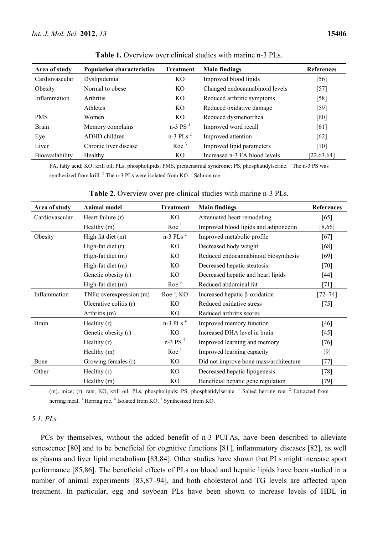| Area of study   | <b>Population characteristics</b> | <b>Treatment</b>       | <b>Main findings</b>           | <b>References</b> |
|-----------------|-----------------------------------|------------------------|--------------------------------|-------------------|
| Cardiovascular  | Dyslipidemia                      | KO                     | Improved blood lipids          | [56]              |
| Obesity         | Normal to obese                   | KO                     | Changed endocannabinoid levels | $[57]$            |
| Inflammation    | <b>Arthritis</b>                  | KO                     | Reduced arthritic symptoms     | $[58]$            |
|                 | <b>Athletes</b>                   | KO                     | Reduced oxidative damage       | $[59]$            |
| <b>PMS</b>      | Women                             | KO                     | Reduced dysmenorrhea           | [60]              |
| <b>Brain</b>    | Memory complains                  | $n-3$ PS $^1$          | Improved word recall           | [61]              |
| Eye             | ADHD children                     | $n-3$ PLs <sup>2</sup> | Improved attention             | [62]              |
| Liver           | Chronic liver disease             | Roe <sup>3</sup>       | Improved lipid parameters      | [10]              |
| Bioavailability | Healthy                           | KO                     | Increased n-3 FA blood levels  | [22, 63, 64]      |

**Table 1.** Overview over clinical studies with marine n-3 PLs.

FA, fatty acid; KO, krill oil; PLs, phospholipids; PMS, premenstrual syndrome; PS, phosphatidylserine. <sup>1</sup> The n-3 PS was synthesized from krill.  ${}^{2}$  The n-3 PLs were isolated from KO.  ${}^{3}$  Salmon roe.

| Area of study  | <b>Animal model</b>             | <b>Treatment</b>       | <b>Main findings</b>                   | <b>References</b> |
|----------------|---------------------------------|------------------------|----------------------------------------|-------------------|
| Cardiovascular | Heart failure (r)               | KO                     | Attenuated heart remodeling            | [65]              |
|                | Healthy (m)                     | Roe <sup>1</sup>       | Improved blood lipids and adiponectin  | [8,66]            |
| Obesity        | High fat diet (m)               | $n-3$ PLs <sup>2</sup> | Improved metabolic profile             | $[67]$            |
|                | High-fat diet $(r)$             | KO                     | Decreased body weight                  | [68]              |
|                | High-fat diet (m)               | KO                     | Reduced endocannabinoid biosynthesis   | $[69]$            |
|                | High-fat diet (m)               | KO                     | Decreased hepatic steatosis            | $[70]$            |
|                | Genetic obesity (r)             | KO                     | Decreased hepatic and heart lipids     | $[44]$            |
|                | High-fat diet (m)               | Roe <sup>3</sup>       | Reduced abdominal fat                  | $[71]$            |
| Inflammation   | TNF $\alpha$ overexpression (m) | $Roe3$ , KO            | Increased hepatic $\beta$ -oxidation   | $[72 - 74]$       |
|                | Ulcerative colitis (r)          | KO                     | Reduced oxidative stress               | $[75]$            |
|                | Arthritis (m)                   | KO                     | Reduced arthritis scores               |                   |
| <b>Brain</b>   | Healthy $(r)$                   | $n-3$ PLs <sup>4</sup> | Improved memory function               | [46]              |
|                | Genetic obesity (r)             | KO                     | Increased DHA level in brain           | $[45]$            |
|                | Healthy $(r)$                   | $n-3$ PS $5$           | Improved learning and memory           | $[76]$            |
|                | Healthy (m)                     | Roe <sup>1</sup>       | Improved learning capacity             | $[9]$             |
| Bone           | Growing females (r)             | KO                     | Did not improve bone mass/architecture | [77]              |
| Other          | Healthy $(r)$                   | KО                     | Decreased hepatic lipogenesis          | $[78]$            |
|                | Healthy (m)                     | KO                     | Beneficial hepatic gene regulation     | $[79]$            |

## **Table 2.** Overview over pre-clinical studies with marine n-3 PLs.

(m), mice; (r), rats; KO, krill oil; PLs, phospholipids; PS, phosphatidylserine. <sup>1</sup> Salted herring roe. <sup>2</sup> Extracted from herring meal.<sup>3</sup> Herring roe.<sup>4</sup> Isolated from KO.<sup>5</sup> Synthesized from KO.

#### *5.1. PLs*

PCs by themselves, without the added benefit of n-3 PUFAs, have been described to alleviate senescence [80] and to be beneficial for cognitive functions [81], inflammatory diseases [82], as well as plasma and liver lipid metabolism [83,84]. Other studies have shown that PLs might increase sport performance [85,86]. The beneficial effects of PLs on blood and hepatic lipids have been studied in a number of animal experiments [83,87–94], and both cholesterol and TG levels are affected upon treatment. In particular, egg and soybean PLs have been shown to increase levels of HDL in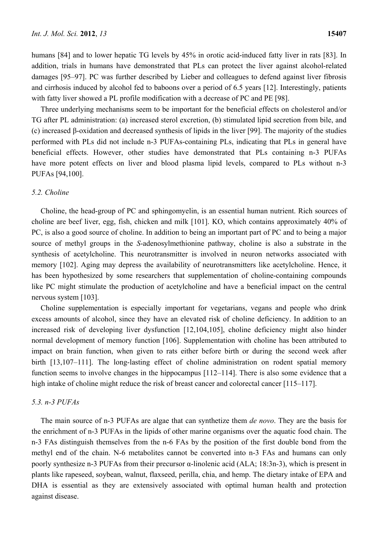humans [84] and to lower hepatic TG levels by 45% in orotic acid-induced fatty liver in rats [83]. In addition, trials in humans have demonstrated that PLs can protect the liver against alcohol-related damages [95–97]. PC was further described by Lieber and colleagues to defend against liver fibrosis and cirrhosis induced by alcohol fed to baboons over a period of 6.5 years [12]. Interestingly, patients with fatty liver showed a PL profile modification with a decrease of PC and PE [98].

Three underlying mechanisms seem to be important for the beneficial effects on cholesterol and/or TG after PL administration: (a) increased sterol excretion, (b) stimulated lipid secretion from bile, and (c) increased β-oxidation and decreased synthesis of lipids in the liver [99]. The majority of the studies performed with PLs did not include n-3 PUFAs-containing PLs, indicating that PLs in general have beneficial effects. However, other studies have demonstrated that PLs containing n-3 PUFAs have more potent effects on liver and blood plasma lipid levels, compared to PLs without n-3 PUFAs [94,100].

# *5.2. Choline*

Choline, the head-group of PC and sphingomyelin, is an essential human nutrient. Rich sources of choline are beef liver, egg, fish, chicken and milk [101]. KO, which contains approximately 40% of PC, is also a good source of choline. In addition to being an important part of PC and to being a major source of methyl groups in the *S*-adenosylmethionine pathway, choline is also a substrate in the synthesis of acetylcholine. This neurotransmitter is involved in neuron networks associated with memory [102]. Aging may depress the availability of neurotransmitters like acetylcholine. Hence, it has been hypothesized by some researchers that supplementation of choline-containing compounds like PC might stimulate the production of acetylcholine and have a beneficial impact on the central nervous system [103].

Choline supplementation is especially important for vegetarians, vegans and people who drink excess amounts of alcohol, since they have an elevated risk of choline deficiency. In addition to an increased risk of developing liver dysfunction [12,104,105], choline deficiency might also hinder normal development of memory function [106]. Supplementation with choline has been attributed to impact on brain function, when given to rats either before birth or during the second week after birth [13,107–111]. The long-lasting effect of choline administration on rodent spatial memory function seems to involve changes in the hippocampus [112–114]. There is also some evidence that a high intake of choline might reduce the risk of breast cancer and colorectal cancer [115–117].

# *5.3. n-3 PUFAs*

The main source of n-3 PUFAs are algae that can synthetize them *de novo*. They are the basis for the enrichment of n-3 PUFAs in the lipids of other marine organisms over the aquatic food chain. The n-3 FAs distinguish themselves from the n-6 FAs by the position of the first double bond from the methyl end of the chain. N-6 metabolites cannot be converted into n-3 FAs and humans can only poorly synthesize n-3 PUFAs from their precursor α-linolenic acid (ALA; 18:3n*-*3), which is present in plants like rapeseed, soybean, walnut, flaxseed, perilla, chia, and hemp. The dietary intake of EPA and DHA is essential as they are extensively associated with optimal human health and protection against disease.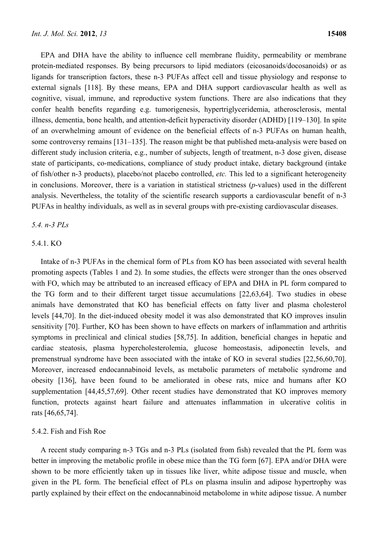EPA and DHA have the ability to influence cell membrane fluidity, permeability or membrane protein-mediated responses. By being precursors to lipid mediators (eicosanoids/docosanoids) or as ligands for transcription factors, these n-3 PUFAs affect cell and tissue physiology and response to external signals [118]. By these means, EPA and DHA support cardiovascular health as well as cognitive, visual, immune, and reproductive system functions. There are also indications that they confer health benefits regarding e.g. tumorigenesis, hypertriglyceridemia, atherosclerosis, mental illness, dementia, bone health, and attention-deficit hyperactivity disorder (ADHD) [119–130]. In spite of an overwhelming amount of evidence on the beneficial effects of n-3 PUFAs on human health, some controversy remains [131–135]. The reason might be that published meta-analysis were based on different study inclusion criteria, e.g., number of subjects, length of treatment, n-3 dose given, disease state of participants, co-medications, compliance of study product intake, dietary background (intake of fish/other n-3 products), placebo/not placebo controlled, *etc.* This led to a significant heterogeneity in conclusions. Moreover, there is a variation in statistical strictness (*p*-values) used in the different analysis. Nevertheless, the totality of the scientific research supports a cardiovascular benefit of n-3 PUFAs in healthy individuals, as well as in several groups with pre-existing cardiovascular diseases.

# *5.4. n-3 PLs*

# 5.4.1. KO

Intake of n-3 PUFAs in the chemical form of PLs from KO has been associated with several health promoting aspects (Tables 1 and 2). In some studies, the effects were stronger than the ones observed with FO, which may be attributed to an increased efficacy of EPA and DHA in PL form compared to the TG form and to their different target tissue accumulations [22,63,64]. Two studies in obese animals have demonstrated that KO has beneficial effects on fatty liver and plasma cholesterol levels [44,70]. In the diet-induced obesity model it was also demonstrated that KO improves insulin sensitivity [70]. Further, KO has been shown to have effects on markers of inflammation and arthritis symptoms in preclinical and clinical studies [58,75]. In addition, beneficial changes in hepatic and cardiac steatosis, plasma hypercholesterolemia, glucose homeostasis, adiponectin levels, and premenstrual syndrome have been associated with the intake of KO in several studies [22,56,60,70]. Moreover, increased endocannabinoid levels, as metabolic parameters of metabolic syndrome and obesity [136], have been found to be ameliorated in obese rats, mice and humans after KO supplementation [44,45,57,69]. Other recent studies have demonstrated that KO improves memory function, protects against heart failure and attenuates inflammation in ulcerative colitis in rats [46,65,74].

#### 5.4.2. Fish and Fish Roe

A recent study comparing n-3 TGs and n-3 PLs (isolated from fish) revealed that the PL form was better in improving the metabolic profile in obese mice than the TG form [67]. EPA and/or DHA were shown to be more efficiently taken up in tissues like liver, white adipose tissue and muscle, when given in the PL form. The beneficial effect of PLs on plasma insulin and adipose hypertrophy was partly explained by their effect on the endocannabinoid metabolome in white adipose tissue. A number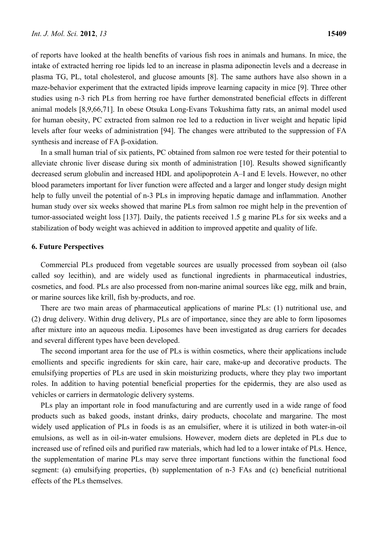of reports have looked at the health benefits of various fish roes in animals and humans. In mice, the intake of extracted herring roe lipids led to an increase in plasma adiponectin levels and a decrease in plasma TG, PL, total cholesterol, and glucose amounts [8]. The same authors have also shown in a maze-behavior experiment that the extracted lipids improve learning capacity in mice [9]. Three other studies using n-3 rich PLs from herring roe have further demonstrated beneficial effects in different animal models [8,9,66,71]. In obese Otsuka Long-Evans Tokushima fatty rats, an animal model used for human obesity, PC extracted from salmon roe led to a reduction in liver weight and hepatic lipid levels after four weeks of administration [94]. The changes were attributed to the suppression of FA synthesis and increase of FA β-oxidation.

In a small human trial of six patients, PC obtained from salmon roe were tested for their potential to alleviate chronic liver disease during six month of administration [10]. Results showed significantly decreased serum globulin and increased HDL and apolipoprotein A–I and E levels. However, no other blood parameters important for liver function were affected and a larger and longer study design might help to fully unveil the potential of n-3 PLs in improving hepatic damage and inflammation. Another human study over six weeks showed that marine PLs from salmon roe might help in the prevention of tumor-associated weight loss [137]. Daily, the patients received 1.5 g marine PLs for six weeks and a stabilization of body weight was achieved in addition to improved appetite and quality of life.

# **6. Future Perspectives**

Commercial PLs produced from vegetable sources are usually processed from soybean oil (also called soy lecithin), and are widely used as functional ingredients in pharmaceutical industries, cosmetics, and food. PLs are also processed from non-marine animal sources like egg, milk and brain, or marine sources like krill, fish by-products, and roe.

There are two main areas of pharmaceutical applications of marine PLs: (1) nutritional use, and (2) drug delivery. Within drug delivery, PLs are of importance, since they are able to form liposomes after mixture into an aqueous media. Liposomes have been investigated as drug carriers for decades and several different types have been developed.

The second important area for the use of PLs is within cosmetics, where their applications include emollients and specific ingredients for skin care, hair care, make-up and decorative products. The emulsifying properties of PLs are used in skin moisturizing products, where they play two important roles. In addition to having potential beneficial properties for the epidermis, they are also used as vehicles or carriers in dermatologic delivery systems.

PLs play an important role in food manufacturing and are currently used in a wide range of food products such as baked goods, instant drinks, dairy products, chocolate and margarine. The most widely used application of PLs in foods is as an emulsifier, where it is utilized in both water-in-oil emulsions, as well as in oil-in-water emulsions. However, modern diets are depleted in PLs due to increased use of refined oils and purified raw materials, which had led to a lower intake of PLs. Hence, the supplementation of marine PLs may serve three important functions within the functional food segment: (a) emulsifying properties, (b) supplementation of n-3 FAs and (c) beneficial nutritional effects of the PLs themselves.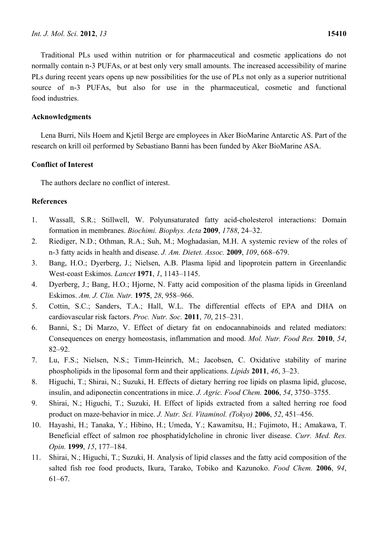Traditional PLs used within nutrition or for pharmaceutical and cosmetic applications do not normally contain n-3 PUFAs, or at best only very small amounts. The increased accessibility of marine PLs during recent years opens up new possibilities for the use of PLs not only as a superior nutritional source of n-3 PUFAs, but also for use in the pharmaceutical, cosmetic and functional food industries.

# **Acknowledgments**

Lena Burri, Nils Hoem and Kjetil Berge are employees in Aker BioMarine Antarctic AS. Part of the research on krill oil performed by Sebastiano Banni has been funded by Aker BioMarine ASA.

# **Conflict of Interest**

The authors declare no conflict of interest.

# **References**

- 1. Wassall, S.R.; Stillwell, W. Polyunsaturated fatty acid-cholesterol interactions: Domain formation in membranes. *Biochimi. Biophys. Acta* **2009**, *1788*, 24–32.
- 2. Riediger, N.D.; Othman, R.A.; Suh, M.; Moghadasian, M.H. A systemic review of the roles of n-3 fatty acids in health and disease. *J. Am. Dietet. Assoc.* **2009**, *109*, 668–679.
- 3. Bang, H.O.; Dyerberg, J.; Nielsen, A.B. Plasma lipid and lipoprotein pattern in Greenlandic West-coast Eskimos. *Lancet* **1971**, *1*, 1143–1145.
- 4. Dyerberg, J.; Bang, H.O.; Hjorne, N. Fatty acid composition of the plasma lipids in Greenland Eskimos. *Am. J. Clin. Nutr.* **1975**, *28*, 958–966.
- 5. Cottin, S.C.; Sanders, T.A.; Hall, W.L. The differential effects of EPA and DHA on cardiovascular risk factors. *Proc. Nutr. Soc.* **2011**, *70*, 215–231.
- 6. Banni, S.; Di Marzo, V. Effect of dietary fat on endocannabinoids and related mediators: Consequences on energy homeostasis, inflammation and mood. *Mol. Nutr. Food Res.* **2010**, *54*, 82–92.
- 7. Lu, F.S.; Nielsen, N.S.; Timm-Heinrich, M.; Jacobsen, C. Oxidative stability of marine phospholipids in the liposomal form and their applications. *Lipids* **2011**, *46*, 3–23.
- 8. Higuchi, T.; Shirai, N.; Suzuki, H. Effects of dietary herring roe lipids on plasma lipid, glucose, insulin, and adiponectin concentrations in mice. *J. Agric. Food Chem.* **2006**, *54*, 3750–3755.
- 9. Shirai, N.; Higuchi, T.; Suzuki, H. Effect of lipids extracted from a salted herring roe food product on maze-behavior in mice. *J. Nutr. Sci. Vitaminol. (Tokyo)* **2006**, *52*, 451–456.
- 10. Hayashi, H.; Tanaka, Y.; Hibino, H.; Umeda, Y.; Kawamitsu, H.; Fujimoto, H.; Amakawa, T. Beneficial effect of salmon roe phosphatidylcholine in chronic liver disease. *Curr. Med. Res. Opin.* **1999**, *15*, 177–184.
- 11. Shirai, N.; Higuchi, T.; Suzuki, H. Analysis of lipid classes and the fatty acid composition of the salted fish roe food products, Ikura, Tarako, Tobiko and Kazunoko. *Food Chem.* **2006**, *94*, 61–67.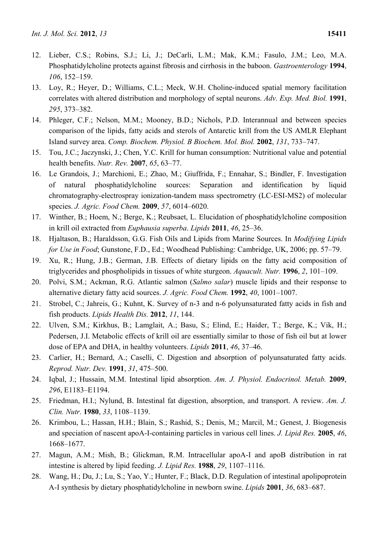- 13. Loy, R.; Heyer, D.; Williams, C.L.; Meck, W.H. Choline-induced spatial memory facilitation correlates with altered distribution and morphology of septal neurons. *Adv. Exp. Med. Biol.* **1991**, *295*, 373–382.
- 14. Phleger, C.F.; Nelson, M.M.; Mooney, B.D.; Nichols, P.D. Interannual and between species comparison of the lipids, fatty acids and sterols of Antarctic krill from the US AMLR Elephant Island survey area. *Comp. Biochem. Physiol. B Biochem. Mol. Biol.* **2002**, *131*, 733–747.
- 15. Tou, J.C.; Jaczynski, J.; Chen, Y.C. Krill for human consumption: Nutritional value and potential health benefits. *Nutr. Rev.* **2007**, *65*, 63–77.
- 16. Le Grandois, J.; Marchioni, E.; Zhao, M.; Giuffrida, F.; Ennahar, S.; Bindler, F. Investigation of natural phosphatidylcholine sources: Separation and identification by liquid chromatography-electrospray ionization-tandem mass spectrometry (LC-ESI-MS2) of molecular species. *J. Agric. Food Chem.* **2009**, *57*, 6014–6020.
- 17. Winther, B.; Hoem, N.; Berge, K.; Reubsaet, L. Elucidation of phosphatidylcholine composition in krill oil extracted from *Euphausia superba*. *Lipids* **2011**, *46*, 25–36.
- 18. Hjaltason, B.; Haraldsson, G.G. Fish Oils and Lipids from Marine Sources. In *Modifying Lipids for Use in Food*; Gunstone, F.D., Ed.; Woodhead Publishing: Cambridge, UK, 2006; pp. 57–79.
- 19. Xu, R.; Hung, J.B.; German, J.B. Effects of dietary lipids on the fatty acid composition of triglycerides and phospholipids in tissues of white sturgeon. *Aquacult. Nutr.* **1996**, *2*, 101–109.
- 20. Polvi, S.M.; Ackman, R.G. Atlantic salmon (*Salmo salar*) muscle lipids and their response to alternative dietary fatty acid sources. *J. Agric. Food Chem.* **1992**, *40*, 1001–1007.
- 21. Strobel, C.; Jahreis, G.; Kuhnt, K. Survey of n-3 and n-6 polyunsaturated fatty acids in fish and fish products. *Lipids Health Dis.* **2012**, *11*, 144.
- 22. Ulven, S.M.; Kirkhus, B.; Lamglait, A.; Basu, S.; Elind, E.; Haider, T.; Berge, K.; Vik, H.; Pedersen, J.I. Metabolic effects of krill oil are essentially similar to those of fish oil but at lower dose of EPA and DHA, in healthy volunteers. *Lipids* **2011**, *46*, 37–46.
- 23. Carlier, H.; Bernard, A.; Caselli, C. Digestion and absorption of polyunsaturated fatty acids. *Reprod. Nutr. Dev.* **1991**, *31*, 475–500.
- 24. Iqbal, J.; Hussain, M.M. Intestinal lipid absorption. *Am. J. Physiol. Endocrinol. Metab.* **2009**, *296*, E1183–E1194.
- 25. Friedman, H.I.; Nylund, B. Intestinal fat digestion, absorption, and transport. A review. *Am. J. Clin. Nutr.* **1980**, *33*, 1108–1139.
- 26. Krimbou, L.; Hassan, H.H.; Blain, S.; Rashid, S.; Denis, M.; Marcil, M.; Genest, J. Biogenesis and speciation of nascent apoA-I-containing particles in various cell lines. *J. Lipid Res.* **2005**, *46*, 1668–1677.
- 27. Magun, A.M.; Mish, B.; Glickman, R.M. Intracellular apoA-I and apoB distribution in rat intestine is altered by lipid feeding. *J. Lipid Res.* **1988**, *29*, 1107–1116.
- 28. Wang, H.; Du, J.; Lu, S.; Yao, Y.; Hunter, F.; Black, D.D. Regulation of intestinal apolipoprotein A-I synthesis by dietary phosphatidylcholine in newborn swine. *Lipids* **2001**, *36*, 683–687.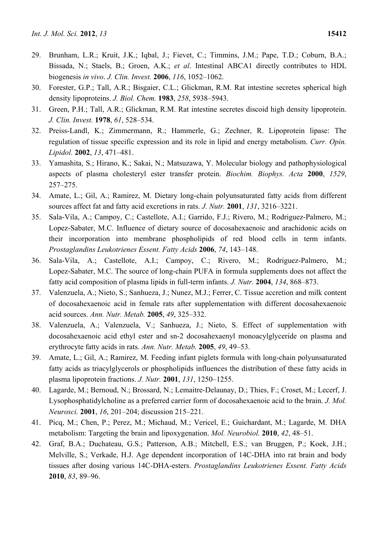- 29. Brunham, L.R.; Kruit, J.K.; Iqbal, J.; Fievet, C.; Timmins, J.M.; Pape, T.D.; Coburn, B.A.; Bissada, N.; Staels, B.; Groen, A.K.; *et al*. Intestinal ABCA1 directly contributes to HDL biogenesis *in vivo*. *J. Clin. Invest.* **2006**, *116*, 1052–1062.
- 30. Forester, G.P.; Tall, A.R.; Bisgaier, C.L.; Glickman, R.M. Rat intestine secretes spherical high density lipoproteins. *J. Biol. Chem.* **1983**, *258*, 5938–5943.
- 31. Green, P.H.; Tall, A.R.; Glickman, R.M. Rat intestine secretes discoid high density lipoprotein. *J. Clin. Invest.* **1978**, *61*, 528–534.
- 32. Preiss-Landl, K.; Zimmermann, R.; Hammerle, G.; Zechner, R. Lipoprotein lipase: The regulation of tissue specific expression and its role in lipid and energy metabolism. *Curr. Opin. Lipidol.* **2002**, *13*, 471–481.
- 33. Yamashita, S.; Hirano, K.; Sakai, N.; Matsuzawa, Y. Molecular biology and pathophysiological aspects of plasma cholesteryl ester transfer protein. *Biochim. Biophys. Acta* **2000**, *1529*, 257–275.
- 34. Amate, L.; Gil, A.; Ramirez, M. Dietary long-chain polyunsaturated fatty acids from different sources affect fat and fatty acid excretions in rats. *J. Nutr.* **2001**, *131*, 3216–3221.
- 35. Sala-Vila, A.; Campoy, C.; Castellote, A.I.; Garrido, F.J.; Rivero, M.; Rodriguez-Palmero, M.; Lopez-Sabater, M.C. Influence of dietary source of docosahexaenoic and arachidonic acids on their incorporation into membrane phospholipids of red blood cells in term infants. *Prostaglandins Leukotrienes Essent. Fatty Acids* **2006**, *74*, 143–148.
- 36. Sala-Vila, A.; Castellote, A.I.; Campoy, C.; Rivero, M.; Rodriguez-Palmero, M.; Lopez-Sabater, M.C. The source of long-chain PUFA in formula supplements does not affect the fatty acid composition of plasma lipids in full-term infants. *J. Nutr.* **2004**, *134*, 868–873.
- 37. Valenzuela, A.; Nieto, S.; Sanhueza, J.; Nunez, M.J.; Ferrer, C. Tissue accretion and milk content of docosahexaenoic acid in female rats after supplementation with different docosahexaenoic acid sources. *Ann. Nutr. Metab.* **2005**, *49*, 325–332.
- 38. Valenzuela, A.; Valenzuela, V.; Sanhueza, J.; Nieto, S. Effect of supplementation with docosahexaenoic acid ethyl ester and sn-2 docosahexaenyl monoacylglyceride on plasma and erythrocyte fatty acids in rats. *Ann. Nutr. Metab.* **2005**, *49*, 49–53.
- 39. Amate, L.; Gil, A.; Ramirez, M. Feeding infant piglets formula with long-chain polyunsaturated fatty acids as triacylglycerols or phospholipids influences the distribution of these fatty acids in plasma lipoprotein fractions. *J. Nutr.* **2001**, *131*, 1250–1255.
- 40. Lagarde, M.; Bernoud, N.; Brossard, N.; Lemaitre-Delaunay, D.; Thies, F.; Croset, M.; Lecerf, J. Lysophosphatidylcholine as a preferred carrier form of docosahexaenoic acid to the brain. *J. Mol. Neurosci.* **2001**, *16*, 201–204; discussion 215–221.
- 41. Picq, M.; Chen, P.; Perez, M.; Michaud, M.; Vericel, E.; Guichardant, M.; Lagarde, M. DHA metabolism: Targeting the brain and lipoxygenation. *Mol. Neurobiol.* **2010**, *42*, 48–51.
- 42. Graf, B.A.; Duchateau, G.S.; Patterson, A.B.; Mitchell, E.S.; van Bruggen, P.; Koek, J.H.; Melville, S.; Verkade, H.J. Age dependent incorporation of 14C-DHA into rat brain and body tissues after dosing various 14C-DHA-esters. *Prostaglandins Leukotrienes Essent. Fatty Acids*  **2010**, *83*, 89–96.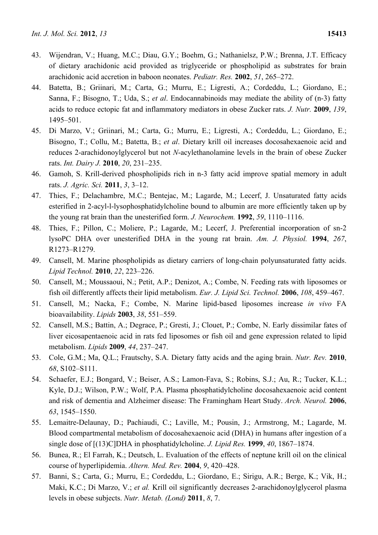- 43. Wijendran, V.; Huang, M.C.; Diau, G.Y.; Boehm, G.; Nathanielsz, P.W.; Brenna, J.T. Efficacy of dietary arachidonic acid provided as triglyceride or phospholipid as substrates for brain arachidonic acid accretion in baboon neonates. *Pediatr. Res.* **2002**, *51*, 265–272.
- 44. Batetta, B.; Griinari, M.; Carta, G.; Murru, E.; Ligresti, A.; Cordeddu, L.; Giordano, E.; Sanna, F.; Bisogno, T.; Uda, S.; *et al*. Endocannabinoids may mediate the ability of (n-3) fatty acids to reduce ectopic fat and inflammatory mediators in obese Zucker rats. *J. Nutr.* **2009**, *139*, 1495–501.
- 45. Di Marzo, V.; Griinari, M.; Carta, G.; Murru, E.; Ligresti, A.; Cordeddu, L.; Giordano, E.; Bisogno, T.; Collu, M.; Batetta, B.; *et al*. Dietary krill oil increases docosahexaenoic acid and reduces 2-arachidonoylglycerol but not *N*-acylethanolamine levels in the brain of obese Zucker rats. *Int. Dairy J.* **2010**, *20*, 231–235.
- 46. Gamoh, S. Krill-derived phospholipids rich in n-3 fatty acid improve spatial memory in adult rats. *J. Agric. Sci.* **2011**, *3*, 3–12.
- 47. Thies, F.; Delachambre, M.C.; Bentejac, M.; Lagarde, M.; Lecerf, J. Unsaturated fatty acids esterified in 2-acyl-l-lysophosphatidylcholine bound to albumin are more efficiently taken up by the young rat brain than the unesterified form. *J. Neurochem.* **1992**, *59*, 1110–1116.
- 48. Thies, F.; Pillon, C.; Moliere, P.; Lagarde, M.; Lecerf, J. Preferential incorporation of sn-2 lysoPC DHA over unesterified DHA in the young rat brain. *Am. J. Physiol.* **1994**, *267*, R1273–R1279.
- 49. Cansell, M. Marine phospholipids as dietary carriers of long-chain polyunsaturated fatty acids. *Lipid Technol.* **2010**, *22*, 223–226.
- 50. Cansell, M.; Moussaoui, N.; Petit, A.P.; Denizot, A.; Combe, N. Feeding rats with liposomes or fish oil differently affects their lipid metabolism. *Eur. J. Lipid Sci. Technol.* **2006**, *108*, 459–467.
- 51. Cansell, M.; Nacka, F.; Combe, N. Marine lipid-based liposomes increase *in vivo* FA bioavailability. *Lipids* **2003**, *38*, 551–559.
- 52. Cansell, M.S.; Battin, A.; Degrace, P.; Gresti, J.; Clouet, P.; Combe, N. Early dissimilar fates of liver eicosapentaenoic acid in rats fed liposomes or fish oil and gene expression related to lipid metabolism. *Lipids* **2009**, *44*, 237–247.
- 53. Cole, G.M.; Ma, Q.L.; Frautschy, S.A. Dietary fatty acids and the aging brain. *Nutr. Rev.* **2010**, *68*, S102–S111.
- 54. Schaefer, E.J.; Bongard, V.; Beiser, A.S.; Lamon-Fava, S.; Robins, S.J.; Au, R.; Tucker, K.L.; Kyle, D.J.; Wilson, P.W.; Wolf, P.A. Plasma phosphatidylcholine docosahexaenoic acid content and risk of dementia and Alzheimer disease: The Framingham Heart Study. *Arch. Neurol.* **2006**, *63*, 1545–1550.
- 55. Lemaitre-Delaunay, D.; Pachiaudi, C.; Laville, M.; Pousin, J.; Armstrong, M.; Lagarde, M. Blood compartmental metabolism of docosahexaenoic acid (DHA) in humans after ingestion of a single dose of [(13)C]DHA in phosphatidylcholine. *J. Lipid Res.* **1999**, *40*, 1867–1874.
- 56. Bunea, R.; El Farrah, K.; Deutsch, L. Evaluation of the effects of neptune krill oil on the clinical course of hyperlipidemia. *Altern. Med. Rev.* **2004**, *9*, 420–428.
- 57. Banni, S.; Carta, G.; Murru, E.; Cordeddu, L.; Giordano, E.; Sirigu, A.R.; Berge, K.; Vik, H.; Maki, K.C.; Di Marzo, V.; *et al.* Krill oil significantly decreases 2-arachidonoylglycerol plasma levels in obese subjects. *Nutr. Metab. (Lond)* **2011**, *8*, 7.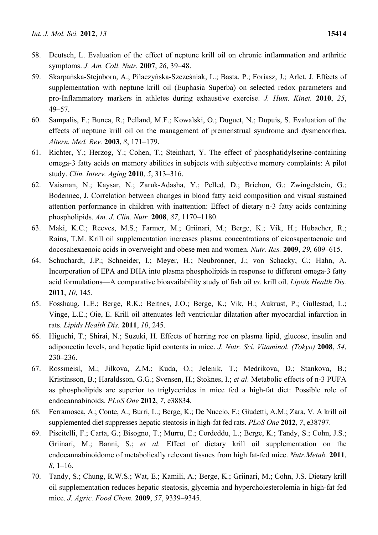- 58. Deutsch, L. Evaluation of the effect of neptune krill oil on chronic inflammation and arthritic symptoms. *J. Am. Coll. Nutr.* **2007**, *26*, 39–48.
- 59. Skarpańska-Stejnborn, A.; Pilaczyńska-Szcześniak, L.; Basta, P.; Foriasz, J.; Arlet, J. Effects of supplementation with neptune krill oil (Euphasia Superba) on selected redox parameters and pro-Inflammatory markers in athletes during exhaustive exercise. *J. Hum. Kinet.* **2010**, *25*, 49–57.
- 60. Sampalis, F.; Bunea, R.; Pelland, M.F.; Kowalski, O.; Duguet, N.; Dupuis, S. Evaluation of the effects of neptune krill oil on the management of premenstrual syndrome and dysmenorrhea. *Altern. Med. Rev.* **2003**, *8*, 171–179.
- 61. Richter, Y.; Herzog, Y.; Cohen, T.; Steinhart, Y. The effect of phosphatidylserine-containing omega-3 fatty acids on memory abilities in subjects with subjective memory complaints: A pilot study. *Clin. Interv. Aging* **2010**, *5*, 313–316.
- 62. Vaisman, N.; Kaysar, N.; Zaruk-Adasha, Y.; Pelled, D.; Brichon, G.; Zwingelstein, G.; Bodennec, J. Correlation between changes in blood fatty acid composition and visual sustained attention performance in children with inattention: Effect of dietary n-3 fatty acids containing phospholipids. *Am. J. Clin. Nutr.* **2008**, *87*, 1170–1180.
- 63. Maki, K.C.; Reeves, M.S.; Farmer, M.; Griinari, M.; Berge, K.; Vik, H.; Hubacher, R.; Rains, T.M. Krill oil supplementation increases plasma concentrations of eicosapentaenoic and docosahexaenoic acids in overweight and obese men and women. *Nutr. Res.* **2009**, *29*, 609–615.
- 64. Schuchardt, J.P.; Schneider, I.; Meyer, H.; Neubronner, J.; von Schacky, C.; Hahn, A. Incorporation of EPA and DHA into plasma phospholipids in response to different omega-3 fatty acid formulations—A comparative bioavailability study of fish oil *vs.* krill oil. *Lipids Health Dis.*  **2011**, *10*, 145.
- 65. Fosshaug, L.E.; Berge, R.K.; Beitnes, J.O.; Berge, K.; Vik, H.; Aukrust, P.; Gullestad, L.; Vinge, L.E.; Oie, E. Krill oil attenuates left ventricular dilatation after myocardial infarction in rats. *Lipids Health Dis.* **2011**, *10*, 245.
- 66. Higuchi, T.; Shirai, N.; Suzuki, H. Effects of herring roe on plasma lipid, glucose, insulin and adiponectin levels, and hepatic lipid contents in mice. *J. Nutr. Sci. Vitaminol. (Tokyo)* **2008**, *54*, 230–236.
- 67. Rossmeisl, M.; Jilkova, Z.M.; Kuda, O.; Jelenik, T.; Medrikova, D.; Stankova, B.; Kristinsson, B.; Haraldsson, G.G.; Svensen, H.; Stoknes, I.; *et al*. Metabolic effects of n-3 PUFA as phospholipids are superior to triglycerides in mice fed a high-fat diet: Possible role of endocannabinoids. *PLoS One* **2012**, *7*, e38834.
- 68. Ferramosca, A.; Conte, A.; Burri, L.; Berge, K.; De Nuccio, F.; Giudetti, A.M.; Zara, V. A krill oil supplemented diet suppresses hepatic steatosis in high-fat fed rats. *PLoS One* **2012**, *7*, e38797.
- 69. Piscitelli, F.; Carta, G.; Bisogno, T.; Murru, E.; Cordeddu, L.; Berge, K.; Tandy, S.; Cohn, J.S.; Griinari, M.; Banni, S.; *et al.* Effect of dietary krill oil supplementation on the endocannabinoidome of metabolically relevant tissues from high fat-fed mice. *Nutr.Metab.* **2011**, *8*, 1–16.
- 70. Tandy, S.; Chung, R.W.S.; Wat, E.; Kamili, A.; Berge, K.; Griinari, M.; Cohn, J.S. Dietary krill oil supplementation reduces hepatic steatosis, glycemia and hypercholesterolemia in high-fat fed mice. *J. Agric. Food Chem.* **2009**, *57*, 9339–9345.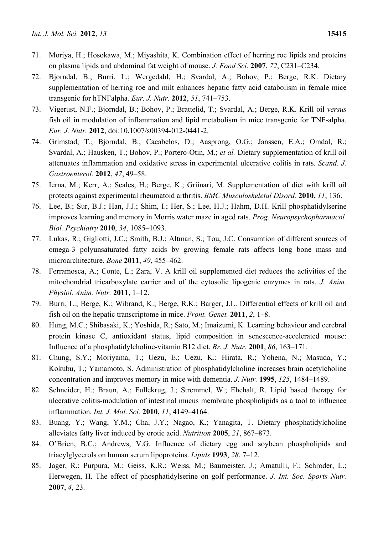- 71. Moriya, H.; Hosokawa, M.; Miyashita, K. Combination effect of herring roe lipids and proteins on plasma lipids and abdominal fat weight of mouse. *J. Food Sci.* **2007**, *72*, C231–C234.
- 72. Bjorndal, B.; Burri, L.; Wergedahl, H.; Svardal, A.; Bohov, P.; Berge, R.K. Dietary supplementation of herring roe and milt enhances hepatic fatty acid catabolism in female mice transgenic for hTNFalpha. *Eur. J. Nutr.* **2012**, *51*, 741–753.
- 73. Vigerust, N.F.; Bjorndal, B.; Bohov, P.; Brattelid, T.; Svardal, A.; Berge, R.K. Krill oil *versus* fish oil in modulation of inflammation and lipid metabolism in mice transgenic for TNF-alpha. *Eur. J. Nutr.* **2012**, doi:10.1007/s00394-012-0441-2.
- 74. Grimstad, T.; Bjorndal, B.; Cacabelos, D.; Aasprong, O.G.; Janssen, E.A.; Omdal, R.; Svardal, A.; Hausken, T.; Bohov, P.; Portero-Otin, M.; *et al.* Dietary supplementation of krill oil attenuates inflammation and oxidative stress in experimental ulcerative colitis in rats. *Scand. J. Gastroenterol.* **2012**, *47*, 49–58.
- 75. Ierna, M.; Kerr, A.; Scales, H.; Berge, K.; Griinari, M. Supplementation of diet with krill oil protects against experimental rheumatoid arthritis. *BMC Musculoskeletal Disord.* **2010**, *11*, 136.
- 76. Lee, B.; Sur, B.J.; Han, J.J.; Shim, I.; Her, S.; Lee, H.J.; Hahm, D.H. Krill phosphatidylserine improves learning and memory in Morris water maze in aged rats. *Prog. Neuropsychopharmacol. Biol. Psychiatry* **2010**, *34*, 1085–1093.
- 77. Lukas, R.; Gigliotti, J.C.; Smith, B.J.; Altman, S.; Tou, J.C. Consumtion of different sources of omega-3 polyunsaturated fatty acids by growing female rats affects long bone mass and microarchitecture. *Bone* **2011**, *49*, 455–462.
- 78. Ferramosca, A.; Conte, L.; Zara, V. A krill oil supplemented diet reduces the activities of the mitochondrial tricarboxylate carrier and of the cytosolic lipogenic enzymes in rats. *J. Anim. Physiol. Anim. Nutr.* **2011**, 1–12.
- 79. Burri, L.; Berge, K.; Wibrand, K.; Berge, R.K.; Barger, J.L. Differential effects of krill oil and fish oil on the hepatic transcriptome in mice. *Front. Genet.* **2011**, *2*, 1–8.
- 80. Hung, M.C.; Shibasaki, K.; Yoshida, R.; Sato, M.; Imaizumi, K. Learning behaviour and cerebral protein kinase C, antioxidant status, lipid composition in senescence-accelerated mouse: Influence of a phosphatidylcholine-vitamin B12 diet. *Br. J. Nutr.* **2001**, *86*, 163–171.
- 81. Chung, S.Y.; Moriyama, T.; Uezu, E.; Uezu, K.; Hirata, R.; Yohena, N.; Masuda, Y.; Kokubu, T.; Yamamoto, S. Administration of phosphatidylcholine increases brain acetylcholine concentration and improves memory in mice with dementia. *J. Nutr.* **1995**, *125*, 1484–1489.
- 82. Schneider, H.; Braun, A.; Fullekrug, J.; Stremmel, W.; Ehehalt, R. Lipid based therapy for ulcerative colitis-modulation of intestinal mucus membrane phospholipids as a tool to influence inflammation. *Int. J. Mol. Sci.* **2010**, *11*, 4149–4164.
- 83. Buang, Y.; Wang, Y.M.; Cha, J.Y.; Nagao, K.; Yanagita, T. Dietary phosphatidylcholine alleviates fatty liver induced by orotic acid. *Nutrition* **2005**, *21*, 867–873.
- 84. O'Brien, B.C.; Andrews, V.G. Influence of dietary egg and soybean phospholipids and triacylglycerols on human serum lipoproteins. *Lipids* **1993**, *28*, 7–12.
- 85. Jager, R.; Purpura, M.; Geiss, K.R.; Weiss, M.; Baumeister, J.; Amatulli, F.; Schroder, L.; Herwegen, H. The effect of phosphatidylserine on golf performance. *J. Int. Soc. Sports Nutr.*  **2007**, *4*, 23.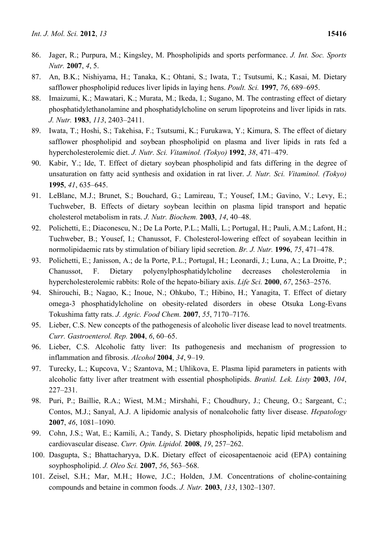- 86. Jager, R.; Purpura, M.; Kingsley, M. Phospholipids and sports performance. *J. Int. Soc. Sports Nutr.* **2007**, *4*, 5.
- 87. An, B.K.; Nishiyama, H.; Tanaka, K.; Ohtani, S.; Iwata, T.; Tsutsumi, K.; Kasai, M. Dietary safflower phospholipid reduces liver lipids in laying hens. *Poult. Sci.* **1997**, *76*, 689–695.
- 88. Imaizumi, K.; Mawatari, K.; Murata, M.; Ikeda, I.; Sugano, M. The contrasting effect of dietary phosphatidylethanolamine and phosphatidylcholine on serum lipoproteins and liver lipids in rats. *J. Nutr.* **1983**, *113*, 2403–2411.
- 89. Iwata, T.; Hoshi, S.; Takehisa, F.; Tsutsumi, K.; Furukawa, Y.; Kimura, S. The effect of dietary safflower phospholipid and soybean phospholipid on plasma and liver lipids in rats fed a hypercholesterolemic diet. *J. Nutr. Sci. Vitaminol. (Tokyo)* **1992**, *38*, 471–479.
- 90. Kabir, Y.; Ide, T. Effect of dietary soybean phospholipid and fats differing in the degree of unsaturation on fatty acid synthesis and oxidation in rat liver. *J. Nutr. Sci. Vitaminol. (Tokyo)*  **1995**, *41*, 635–645.
- 91. LeBlanc, M.J.; Brunet, S.; Bouchard, G.; Lamireau, T.; Yousef, I.M.; Gavino, V.; Levy, E.; Tuchweber, B. Effects of dietary soybean lecithin on plasma lipid transport and hepatic cholesterol metabolism in rats. *J. Nutr. Biochem.* **2003**, *14*, 40–48.
- 92. Polichetti, E.; Diaconescu, N.; De La Porte, P.L.; Malli, L.; Portugal, H.; Pauli, A.M.; Lafont, H.; Tuchweber, B.; Yousef, I.; Chanussot, F. Cholesterol-lowering effect of soyabean lecithin in normolipidaemic rats by stimulation of biliary lipid secretion. *Br. J. Nutr.* **1996**, *75*, 471–478.
- 93. Polichetti, E.; Janisson, A.; de la Porte, P.L.; Portugal, H.; Leonardi, J.; Luna, A.; La Droitte, P.; Chanussot, F. Dietary polyenylphosphatidylcholine decreases cholesterolemia in hypercholesterolemic rabbits: Role of the hepato-biliary axis. *Life Sci.* **2000**, *67*, 2563–2576.
- 94. Shirouchi, B.; Nagao, K.; Inoue, N.; Ohkubo, T.; Hibino, H.; Yanagita, T. Effect of dietary omega-3 phosphatidylcholine on obesity-related disorders in obese Otsuka Long-Evans Tokushima fatty rats. *J. Agric. Food Chem.* **2007**, *55*, 7170–7176.
- 95. Lieber, C.S. New concepts of the pathogenesis of alcoholic liver disease lead to novel treatments. *Curr. Gastroenterol. Rep.* **2004**, *6*, 60–65.
- 96. Lieber, C.S. Alcoholic fatty liver: Its pathogenesis and mechanism of progression to inflammation and fibrosis. *Alcohol* **2004**, *34*, 9–19.
- 97. Turecky, L.; Kupcova, V.; Szantova, M.; Uhlikova, E. Plasma lipid parameters in patients with alcoholic fatty liver after treatment with essential phospholipids. *Bratisl. Lek. Listy* **2003**, *104*, 227–231.
- 98. Puri, P.; Baillie, R.A.; Wiest, M.M.; Mirshahi, F.; Choudhury, J.; Cheung, O.; Sargeant, C.; Contos, M.J.; Sanyal, A.J. A lipidomic analysis of nonalcoholic fatty liver disease. *Hepatology*  **2007**, *46*, 1081–1090.
- 99. Cohn, J.S.; Wat, E.; Kamili, A.; Tandy, S. Dietary phospholipids, hepatic lipid metabolism and cardiovascular disease. *Curr. Opin. Lipidol.* **2008**, *19*, 257–262.
- 100. Dasgupta, S.; Bhattacharyya, D.K. Dietary effect of eicosapentaenoic acid (EPA) containing soyphospholipid. *J. Oleo Sci.* **2007**, *56*, 563–568.
- 101. Zeisel, S.H.; Mar, M.H.; Howe, J.C.; Holden, J.M. Concentrations of choline-containing compounds and betaine in common foods. *J. Nutr.* **2003**, *133*, 1302–1307.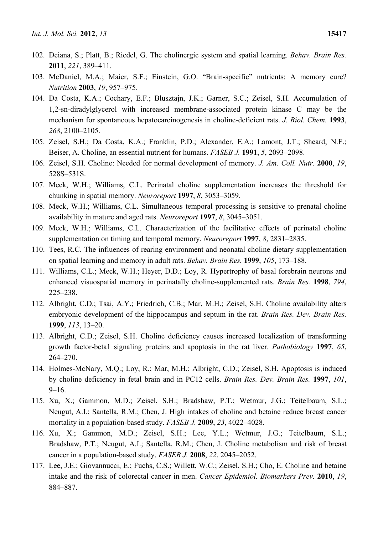- 102. Deiana, S.; Platt, B.; Riedel, G. The cholinergic system and spatial learning. *Behav. Brain Res.*  **2011**, *221*, 389–411.
- 103. McDaniel, M.A.; Maier, S.F.; Einstein, G.O. "Brain-specific" nutrients: A memory cure? *Nutrition* **2003**, *19*, 957–975.
- 104. Da Costa, K.A.; Cochary, E.F.; Blusztajn, J.K.; Garner, S.C.; Zeisel, S.H. Accumulation of 1,2-sn-diradylglycerol with increased membrane-associated protein kinase C may be the mechanism for spontaneous hepatocarcinogenesis in choline-deficient rats. *J. Biol. Chem.* **1993**, *268*, 2100–2105.
- 105. Zeisel, S.H.; Da Costa, K.A.; Franklin, P.D.; Alexander, E.A.; Lamont, J.T.; Sheard, N.F.; Beiser, A. Choline, an essential nutrient for humans. *FASEB J.* **1991**, *5*, 2093–2098.
- 106. Zeisel, S.H. Choline: Needed for normal development of memory. *J. Am. Coll. Nutr.* **2000**, *19*, 528S–531S.
- 107. Meck, W.H.; Williams, C.L. Perinatal choline supplementation increases the threshold for chunking in spatial memory. *Neuroreport* **1997**, *8*, 3053–3059.
- 108. Meck, W.H.; Williams, C.L. Simultaneous temporal processing is sensitive to prenatal choline availability in mature and aged rats. *Neuroreport* **1997**, *8*, 3045–3051.
- 109. Meck, W.H.; Williams, C.L. Characterization of the facilitative effects of perinatal choline supplementation on timing and temporal memory. *Neuroreport* **1997**, *8*, 2831–2835.
- 110. Tees, R.C. The influences of rearing environment and neonatal choline dietary supplementation on spatial learning and memory in adult rats. *Behav. Brain Res.* **1999**, *105*, 173–188.
- 111. Williams, C.L.; Meck, W.H.; Heyer, D.D.; Loy, R. Hypertrophy of basal forebrain neurons and enhanced visuospatial memory in perinatally choline-supplemented rats. *Brain Res.* **1998**, *794*, 225–238.
- 112. Albright, C.D.; Tsai, A.Y.; Friedrich, C.B.; Mar, M.H.; Zeisel, S.H. Choline availability alters embryonic development of the hippocampus and septum in the rat. *Brain Res. Dev. Brain Res.*  **1999**, *113*, 13–20.
- 113. Albright, C.D.; Zeisel, S.H. Choline deficiency causes increased localization of transforming growth factor-beta1 signaling proteins and apoptosis in the rat liver. *Pathobiology* **1997**, *65*, 264–270.
- 114. Holmes-McNary, M.Q.; Loy, R.; Mar, M.H.; Albright, C.D.; Zeisel, S.H. Apoptosis is induced by choline deficiency in fetal brain and in PC12 cells. *Brain Res. Dev. Brain Res.* **1997**, *101*,  $9-16.$
- 115. Xu, X.; Gammon, M.D.; Zeisel, S.H.; Bradshaw, P.T.; Wetmur, J.G.; Teitelbaum, S.L.; Neugut, A.I.; Santella, R.M.; Chen, J. High intakes of choline and betaine reduce breast cancer mortality in a population-based study. *FASEB J.* **2009**, *23*, 4022–4028.
- 116. Xu, X.; Gammon, M.D.; Zeisel, S.H.; Lee, Y.L.; Wetmur, J.G.; Teitelbaum, S.L.; Bradshaw, P.T.; Neugut, A.I.; Santella, R.M.; Chen, J. Choline metabolism and risk of breast cancer in a population-based study. *FASEB J.* **2008**, *22*, 2045–2052.
- 117. Lee, J.E.; Giovannucci, E.; Fuchs, C.S.; Willett, W.C.; Zeisel, S.H.; Cho, E. Choline and betaine intake and the risk of colorectal cancer in men. *Cancer Epidemiol. Biomarkers Prev.* **2010**, *19*, 884–887.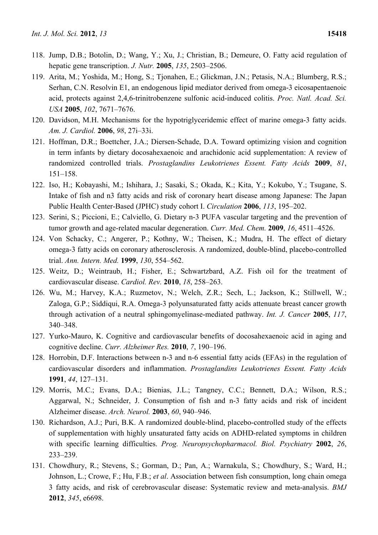- 118. Jump, D.B.; Botolin, D.; Wang, Y.; Xu, J.; Christian, B.; Demeure, O. Fatty acid regulation of hepatic gene transcription. *J. Nutr.* **2005**, *135*, 2503–2506.
- 119. Arita, M.; Yoshida, M.; Hong, S.; Tjonahen, E.; Glickman, J.N.; Petasis, N.A.; Blumberg, R.S.; Serhan, C.N. Resolvin E1, an endogenous lipid mediator derived from omega-3 eicosapentaenoic acid, protects against 2,4,6-trinitrobenzene sulfonic acid-induced colitis. *Proc. Natl. Acad. Sci. USA* **2005**, *102*, 7671–7676.
- 120. Davidson, M.H. Mechanisms for the hypotriglyceridemic effect of marine omega-3 fatty acids. *Am. J. Cardiol.* **2006**, *98*, 27i–33i.
- 121. Hoffman, D.R.; Boettcher, J.A.; Diersen-Schade, D.A. Toward optimizing vision and cognition in term infants by dietary docosahexaenoic and arachidonic acid supplementation: A review of randomized controlled trials. *Prostaglandins Leukotrienes Essent. Fatty Acids* **2009**, *81*, 151–158.
- 122. Iso, H.; Kobayashi, M.; Ishihara, J.; Sasaki, S.; Okada, K.; Kita, Y.; Kokubo, Y.; Tsugane, S. Intake of fish and n3 fatty acids and risk of coronary heart disease among Japanese: The Japan Public Health Center-Based (JPHC) study cohort I. *Circulation* **2006**, *113*, 195–202.
- 123. Serini, S.; Piccioni, E.; Calviello, G. Dietary n-3 PUFA vascular targeting and the prevention of tumor growth and age-related macular degeneration. *Curr. Med. Chem.* **2009**, *16*, 4511–4526.
- 124. Von Schacky, C.; Angerer, P.; Kothny, W.; Theisen, K.; Mudra, H. The effect of dietary omega-3 fatty acids on coronary atherosclerosis. A randomized, double-blind, placebo-controlled trial. *Ann. Intern. Med.* **1999**, *130*, 554–562.
- 125. Weitz, D.; Weintraub, H.; Fisher, E.; Schwartzbard, A.Z. Fish oil for the treatment of cardiovascular disease. *Cardiol. Rev.* **2010**, *18*, 258–263.
- 126. Wu, M.; Harvey, K.A.; Ruzmetov, N.; Welch, Z.R.; Sech, L.; Jackson, K.; Stillwell, W.; Zaloga, G.P.; Siddiqui, R.A. Omega-3 polyunsaturated fatty acids attenuate breast cancer growth through activation of a neutral sphingomyelinase-mediated pathway. *Int. J. Cancer* **2005**, *117*, 340–348.
- 127. Yurko-Mauro, K. Cognitive and cardiovascular benefits of docosahexaenoic acid in aging and cognitive decline. *Curr. Alzheimer Res.* **2010**, *7*, 190–196.
- 128. Horrobin, D.F. Interactions between n-3 and n-6 essential fatty acids (EFAs) in the regulation of cardiovascular disorders and inflammation. *Prostaglandins Leukotrienes Essent. Fatty Acids*  **1991**, *44*, 127–131.
- 129. Morris, M.C.; Evans, D.A.; Bienias, J.L.; Tangney, C.C.; Bennett, D.A.; Wilson, R.S.; Aggarwal, N.; Schneider, J. Consumption of fish and n-3 fatty acids and risk of incident Alzheimer disease. *Arch. Neurol.* **2003**, *60*, 940–946.
- 130. Richardson, A.J.; Puri, B.K. A randomized double-blind, placebo-controlled study of the effects of supplementation with highly unsaturated fatty acids on ADHD-related symptoms in children with specific learning difficulties. *Prog. Neuropsychopharmacol. Biol. Psychiatry* **2002**, *26*, 233–239.
- 131. Chowdhury, R.; Stevens, S.; Gorman, D.; Pan, A.; Warnakula, S.; Chowdhury, S.; Ward, H.; Johnson, L.; Crowe, F.; Hu, F.B.; *et al*. Association between fish consumption, long chain omega 3 fatty acids, and risk of cerebrovascular disease: Systematic review and meta-analysis. *BMJ*  **2012**, *345*, e6698.